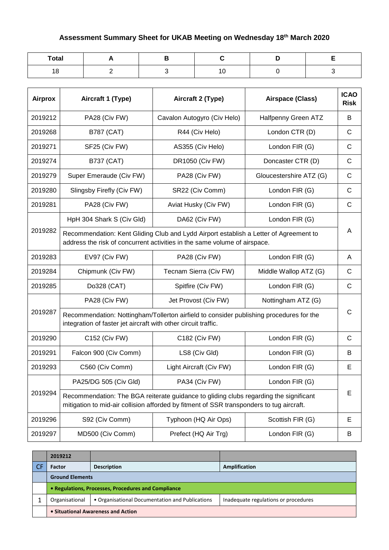## **Assessment Summary Sheet for UKAB Meeting on Wednesday 18th March 2020**

| <b>Total</b> |  |  |  |
|--------------|--|--|--|
| 18           |  |  |  |

| <b>Airprox</b> | Aircraft 1 (Type)                                                                                                                                                                 | Aircraft 2 (Type)           | Airspace (Class)        | <b>ICAO</b><br><b>Risk</b> |  |
|----------------|-----------------------------------------------------------------------------------------------------------------------------------------------------------------------------------|-----------------------------|-------------------------|----------------------------|--|
| 2019212        | PA28 (Civ FW)                                                                                                                                                                     | Cavalon Autogyro (Civ Helo) | Halfpenny Green ATZ     | В                          |  |
| 2019268        | <b>B787 (CAT)</b>                                                                                                                                                                 | R44 (Civ Helo)              | London CTR (D)          | C                          |  |
| 2019271        | SF25 (Civ FW)                                                                                                                                                                     | AS355 (Civ Helo)            | London FIR (G)          | $\mathsf{C}$               |  |
| 2019274        | <b>B737 (CAT)</b>                                                                                                                                                                 | DR1050 (Civ FW)             | Doncaster CTR (D)       | $\mathsf{C}$               |  |
| 2019279        | Super Emeraude (Civ FW)                                                                                                                                                           | PA28 (Civ FW)               | Gloucestershire ATZ (G) | $\mathsf{C}$               |  |
| 2019280        | Slingsby Firefly (Civ FW)                                                                                                                                                         | SR22 (Civ Comm)             | London FIR (G)          | $\mathsf{C}$               |  |
| 2019281        | PA28 (Civ FW)                                                                                                                                                                     | Aviat Husky (Civ FW)        | London FIR (G)          | $\mathsf{C}$               |  |
|                | HpH 304 Shark S (Civ Gld)                                                                                                                                                         | DA62 (Civ FW)               | London FIR (G)          |                            |  |
| 2019282        | Recommendation: Kent Gliding Club and Lydd Airport establish a Letter of Agreement to<br>address the risk of concurrent activities in the same volume of airspace.                |                             |                         |                            |  |
| 2019283        | EV97 (Civ FW)                                                                                                                                                                     | PA28 (Civ FW)               | London FIR (G)          | A                          |  |
| 2019284        | Chipmunk (Civ FW)                                                                                                                                                                 | Tecnam Sierra (Civ FW)      | Middle Wallop ATZ (G)   | $\mathsf{C}$               |  |
| 2019285        | Do328 (CAT)                                                                                                                                                                       | Spitfire (Civ FW)           | London FIR (G)          | C                          |  |
|                | PA28 (Civ FW)<br>Jet Provost (Civ FW)<br>Nottingham ATZ (G)                                                                                                                       |                             |                         |                            |  |
| 2019287        | Recommendation: Nottingham/Tollerton airfield to consider publishing procedures for the<br>integration of faster jet aircraft with other circuit traffic.                         |                             |                         |                            |  |
| 2019290        | C152 (Civ FW)                                                                                                                                                                     | C182 (Civ FW)               | London FIR (G)          | $\mathsf{C}$               |  |
| 2019291        | Falcon 900 (Civ Comm)                                                                                                                                                             | LS8 (Civ Gld)               | London FIR (G)          | В                          |  |
| 2019293        | C560 (Civ Comm)                                                                                                                                                                   | Light Aircraft (Civ FW)     | London FIR (G)          | E                          |  |
|                | PA25/DG 505 (Civ Gld)                                                                                                                                                             | PA34 (Civ FW)               | London FIR (G)          |                            |  |
| 2019294        | Recommendation: The BGA reiterate guidance to gliding clubs regarding the significant<br>mitigation to mid-air collision afforded by fitment of SSR transponders to tug aircraft. |                             |                         |                            |  |
| 2019296        | S92 (Civ Comm)                                                                                                                                                                    | Typhoon (HQ Air Ops)        | Scottish FIR (G)        | E                          |  |
| 2019297        | MD500 (Civ Comm)                                                                                                                                                                  | Prefect (HQ Air Trg)        | London FIR (G)          | Β                          |  |

| 2019212                                             |                                                 |                                      |  |
|-----------------------------------------------------|-------------------------------------------------|--------------------------------------|--|
| <b>Factor</b>                                       | <b>Description</b>                              | Amplification                        |  |
| <b>Ground Elements</b>                              |                                                 |                                      |  |
| • Regulations, Processes, Procedures and Compliance |                                                 |                                      |  |
| Organisational                                      | • Organisational Documentation and Publications | Inadequate regulations or procedures |  |
| • Situational Awareness and Action                  |                                                 |                                      |  |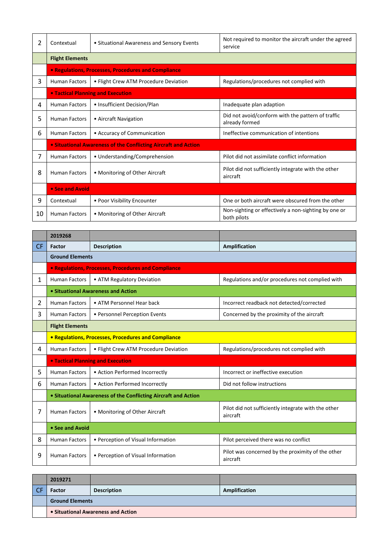| 2  | Contextual             | • Situational Awareness and Sensory Events                     | Not required to monitor the aircraft under the agreed<br>service    |  |
|----|------------------------|----------------------------------------------------------------|---------------------------------------------------------------------|--|
|    | <b>Flight Elements</b> |                                                                |                                                                     |  |
|    |                        | <b>• Regulations, Processes, Procedures and Compliance</b>     |                                                                     |  |
| 3  | <b>Human Factors</b>   | • Flight Crew ATM Procedure Deviation                          | Regulations/procedures not complied with                            |  |
|    |                        | <b>• Tactical Planning and Execution</b>                       |                                                                     |  |
| 4  | <b>Human Factors</b>   | • Insufficient Decision/Plan                                   | Inadequate plan adaption                                            |  |
| 5  | <b>Human Factors</b>   | • Aircraft Navigation                                          | Did not avoid/conform with the pattern of traffic<br>already formed |  |
| 6  | <b>Human Factors</b>   | • Accuracy of Communication                                    | Ineffective communication of intentions                             |  |
|    |                        | • Situational Awareness of the Conflicting Aircraft and Action |                                                                     |  |
| 7  | <b>Human Factors</b>   | • Understanding/Comprehension                                  | Pilot did not assimilate conflict information                       |  |
| 8  | <b>Human Factors</b>   | • Monitoring of Other Aircraft                                 | Pilot did not sufficiently integrate with the other<br>aircraft     |  |
|    | • See and Avoid        |                                                                |                                                                     |  |
| 9  | Contextual             | • Poor Visibility Encounter                                    | One or both aircraft were obscured from the other                   |  |
| 10 | <b>Human Factors</b>   | • Monitoring of Other Aircraft                                 | Non-sighting or effectively a non-sighting by one or<br>both pilots |  |

|           | 2019268                |                                                                |                                                                 |  |
|-----------|------------------------|----------------------------------------------------------------|-----------------------------------------------------------------|--|
| <b>CF</b> | Factor                 | <b>Description</b>                                             | Amplification                                                   |  |
|           | <b>Ground Elements</b> |                                                                |                                                                 |  |
|           |                        | • Regulations, Processes, Procedures and Compliance            |                                                                 |  |
| 1         | <b>Human Factors</b>   | • ATM Regulatory Deviation                                     | Regulations and/or procedures not complied with                 |  |
|           |                        | • Situational Awareness and Action                             |                                                                 |  |
| 2         | <b>Human Factors</b>   | • ATM Personnel Hear back                                      | Incorrect readback not detected/corrected                       |  |
| 3         | <b>Human Factors</b>   | • Personnel Perception Events                                  | Concerned by the proximity of the aircraft                      |  |
|           | <b>Flight Elements</b> |                                                                |                                                                 |  |
|           |                        | <b>• Regulations, Processes, Procedures and Compliance</b>     |                                                                 |  |
| 4         | <b>Human Factors</b>   | • Flight Crew ATM Procedure Deviation                          | Regulations/procedures not complied with                        |  |
|           |                        | <b>. Tactical Planning and Execution</b>                       |                                                                 |  |
| 5         | <b>Human Factors</b>   | • Action Performed Incorrectly                                 | Incorrect or ineffective execution                              |  |
| 6         | <b>Human Factors</b>   | • Action Performed Incorrectly                                 | Did not follow instructions                                     |  |
|           |                        | • Situational Awareness of the Conflicting Aircraft and Action |                                                                 |  |
| 7         | <b>Human Factors</b>   | • Monitoring of Other Aircraft                                 | Pilot did not sufficiently integrate with the other<br>aircraft |  |
|           | • See and Avoid        |                                                                |                                                                 |  |
| 8         | <b>Human Factors</b>   | • Perception of Visual Information                             | Pilot perceived there was no conflict                           |  |
| 9         | <b>Human Factors</b>   | • Perception of Visual Information                             | Pilot was concerned by the proximity of the other<br>aircraft   |  |

| 2019271                            |                    |               |
|------------------------------------|--------------------|---------------|
| <b>Factor</b>                      | <b>Description</b> | Amplification |
| <b>Ground Elements</b>             |                    |               |
| • Situational Awareness and Action |                    |               |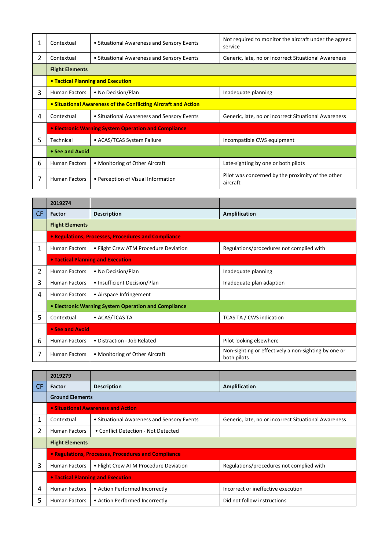| 1  | Contextual                                                     | • Situational Awareness and Sensory Events           | Not required to monitor the aircraft under the agreed<br>service |  |
|----|----------------------------------------------------------------|------------------------------------------------------|------------------------------------------------------------------|--|
| 2  | Contextual                                                     | • Situational Awareness and Sensory Events           | Generic, late, no or incorrect Situational Awareness             |  |
|    | <b>Flight Elements</b>                                         |                                                      |                                                                  |  |
|    |                                                                | • Tactical Planning and Execution                    |                                                                  |  |
| 3  | <b>Human Factors</b>                                           | • No Decision/Plan                                   | Inadequate planning                                              |  |
|    | • Situational Awareness of the Conflicting Aircraft and Action |                                                      |                                                                  |  |
| 4  | Contextual                                                     | • Situational Awareness and Sensory Events           | Generic, late, no or incorrect Situational Awareness             |  |
|    |                                                                | • Electronic Warning System Operation and Compliance |                                                                  |  |
| 5. | Technical                                                      | • ACAS/TCAS System Failure                           | Incompatible CWS equipment                                       |  |
|    | • See and Avoid                                                |                                                      |                                                                  |  |
| 6  | <b>Human Factors</b>                                           | • Monitoring of Other Aircraft                       | Late-sighting by one or both pilots                              |  |
|    | <b>Human Factors</b>                                           | • Perception of Visual Information                   | Pilot was concerned by the proximity of the other<br>aircraft    |  |

|     | 2019274                |                                                      |                                                                     |
|-----|------------------------|------------------------------------------------------|---------------------------------------------------------------------|
| CF. | Factor                 | <b>Description</b>                                   | Amplification                                                       |
|     | <b>Flight Elements</b> |                                                      |                                                                     |
|     |                        | • Regulations, Processes, Procedures and Compliance  |                                                                     |
| 1   | <b>Human Factors</b>   | • Flight Crew ATM Procedure Deviation                | Regulations/procedures not complied with                            |
|     |                        | • Tactical Planning and Execution                    |                                                                     |
| 2   | <b>Human Factors</b>   | • No Decision/Plan                                   | Inadequate planning                                                 |
| 3   | <b>Human Factors</b>   | • Insufficient Decision/Plan                         | Inadequate plan adaption                                            |
| 4   | <b>Human Factors</b>   | • Airspace Infringement                              |                                                                     |
|     |                        | • Electronic Warning System Operation and Compliance |                                                                     |
| 5   | Contextual             | • ACAS/TCAS TA                                       | TCAS TA / CWS indication                                            |
|     | • See and Avoid        |                                                      |                                                                     |
| 6   | <b>Human Factors</b>   | • Distraction - Job Related                          | Pilot looking elsewhere                                             |
|     | <b>Human Factors</b>   | • Monitoring of Other Aircraft                       | Non-sighting or effectively a non-sighting by one or<br>both pilots |

|           | 2019279                           |                                                     |                                                      |  |
|-----------|-----------------------------------|-----------------------------------------------------|------------------------------------------------------|--|
| <b>CF</b> | Factor                            | <b>Description</b>                                  | Amplification                                        |  |
|           | <b>Ground Elements</b>            |                                                     |                                                      |  |
|           |                                   | • Situational Awareness and Action                  |                                                      |  |
|           | Contextual                        | • Situational Awareness and Sensory Events          | Generic, late, no or incorrect Situational Awareness |  |
|           | <b>Human Factors</b>              | • Conflict Detection - Not Detected                 |                                                      |  |
|           | <b>Flight Elements</b>            |                                                     |                                                      |  |
|           |                                   | • Regulations, Processes, Procedures and Compliance |                                                      |  |
| 3         | <b>Human Factors</b>              | • Flight Crew ATM Procedure Deviation               | Regulations/procedures not complied with             |  |
|           | • Tactical Planning and Execution |                                                     |                                                      |  |
| 4         | <b>Human Factors</b>              | • Action Performed Incorrectly                      | Incorrect or ineffective execution                   |  |
| 5         | <b>Human Factors</b>              | • Action Performed Incorrectly                      | Did not follow instructions                          |  |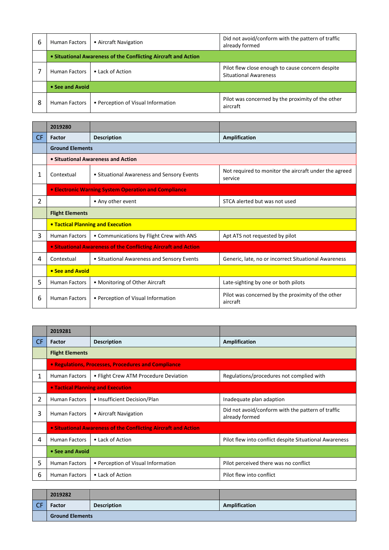| 6 | <b>Human Factors</b>                                           | • Aircraft Navigation              | Did not avoid/conform with the pattern of traffic<br>already formed              |  |
|---|----------------------------------------------------------------|------------------------------------|----------------------------------------------------------------------------------|--|
|   | • Situational Awareness of the Conflicting Aircraft and Action |                                    |                                                                                  |  |
|   | <b>Human Factors</b>                                           | • Lack of Action                   | Pilot flew close enough to cause concern despite<br><b>Situational Awareness</b> |  |
|   | • See and Avoid                                                |                                    |                                                                                  |  |
| 8 | <b>Human Factors</b>                                           | • Perception of Visual Information | Pilot was concerned by the proximity of the other<br>aircraft                    |  |

|                | 2019280                |                                                                       |                                                                  |  |
|----------------|------------------------|-----------------------------------------------------------------------|------------------------------------------------------------------|--|
| CF.            | Factor                 | <b>Description</b>                                                    | Amplification                                                    |  |
|                | <b>Ground Elements</b> |                                                                       |                                                                  |  |
|                |                        | • Situational Awareness and Action                                    |                                                                  |  |
| 1              | Contextual             | • Situational Awareness and Sensory Events                            | Not required to monitor the aircraft under the agreed<br>service |  |
|                |                        | • Electronic Warning System Operation and Compliance                  |                                                                  |  |
| $\overline{2}$ |                        | • Any other event                                                     | STCA alerted but was not used                                    |  |
|                | <b>Flight Elements</b> |                                                                       |                                                                  |  |
|                |                        | • Tactical Planning and Execution                                     |                                                                  |  |
| 3              | <b>Human Factors</b>   | • Communications by Flight Crew with ANS                              | Apt ATS not requested by pilot                                   |  |
|                |                        | <b>• Situational Awareness of the Conflicting Aircraft and Action</b> |                                                                  |  |
| 4              | Contextual             | • Situational Awareness and Sensory Events                            | Generic, late, no or incorrect Situational Awareness             |  |
|                | • See and Avoid        |                                                                       |                                                                  |  |
| 5.             | <b>Human Factors</b>   | • Monitoring of Other Aircraft                                        | Late-sighting by one or both pilots                              |  |
| 6              | <b>Human Factors</b>   | • Perception of Visual Information                                    | Pilot was concerned by the proximity of the other<br>aircraft    |  |

|     | 2019281                |                                                                       |                                                                     |
|-----|------------------------|-----------------------------------------------------------------------|---------------------------------------------------------------------|
| CF. | Factor                 | <b>Description</b>                                                    | Amplification                                                       |
|     | <b>Flight Elements</b> |                                                                       |                                                                     |
|     |                        | • Regulations, Processes, Procedures and Compliance                   |                                                                     |
| 1   | <b>Human Factors</b>   | • Flight Crew ATM Procedure Deviation                                 | Regulations/procedures not complied with                            |
|     |                        | <b>. Tactical Planning and Execution</b>                              |                                                                     |
| 2   | <b>Human Factors</b>   | • Insufficient Decision/Plan                                          | Inadequate plan adaption                                            |
| 3   | <b>Human Factors</b>   | • Aircraft Navigation                                                 | Did not avoid/conform with the pattern of traffic<br>already formed |
|     |                        | <b>• Situational Awareness of the Conflicting Aircraft and Action</b> |                                                                     |
| 4   | <b>Human Factors</b>   | • Lack of Action                                                      | Pilot flew into conflict despite Situational Awareness              |
|     | • See and Avoid        |                                                                       |                                                                     |
| 5   | <b>Human Factors</b>   | • Perception of Visual Information                                    | Pilot perceived there was no conflict                               |
| 6   | <b>Human Factors</b>   | • Lack of Action                                                      | Pilot flew into conflict                                            |

|    | 2019282                |                    |               |
|----|------------------------|--------------------|---------------|
| CΕ | Factor                 | <b>Description</b> | Amplification |
|    | <b>Ground Elements</b> |                    |               |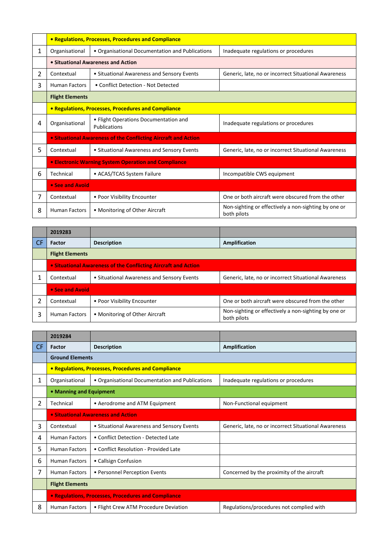|   | • Regulations, Processes, Procedures and Compliance |                                                                       |                                                                     |  |
|---|-----------------------------------------------------|-----------------------------------------------------------------------|---------------------------------------------------------------------|--|
| 1 | Organisational                                      | • Organisational Documentation and Publications                       | Inadequate regulations or procedures                                |  |
|   |                                                     | • Situational Awareness and Action                                    |                                                                     |  |
| 2 | Contextual                                          | • Situational Awareness and Sensory Events                            | Generic, late, no or incorrect Situational Awareness                |  |
| 3 | <b>Human Factors</b>                                | • Conflict Detection - Not Detected                                   |                                                                     |  |
|   | <b>Flight Elements</b>                              |                                                                       |                                                                     |  |
|   | • Regulations, Processes, Procedures and Compliance |                                                                       |                                                                     |  |
| 4 | Organisational                                      | • Flight Operations Documentation and<br>Publications                 | Inadequate regulations or procedures                                |  |
|   |                                                     | <b>• Situational Awareness of the Conflicting Aircraft and Action</b> |                                                                     |  |
| 5 | Contextual                                          | • Situational Awareness and Sensory Events                            | Generic, late, no or incorrect Situational Awareness                |  |
|   |                                                     | <b>• Electronic Warning System Operation and Compliance</b>           |                                                                     |  |
| 6 | Technical                                           | • ACAS/TCAS System Failure                                            | Incompatible CWS equipment                                          |  |
|   | • See and Avoid                                     |                                                                       |                                                                     |  |
| 7 | Contextual                                          | • Poor Visibility Encounter                                           | One or both aircraft were obscured from the other                   |  |
| 8 | <b>Human Factors</b>                                | • Monitoring of Other Aircraft                                        | Non-sighting or effectively a non-sighting by one or<br>both pilots |  |

|     | 2019283                                                        |                                            |                                                                     |  |
|-----|----------------------------------------------------------------|--------------------------------------------|---------------------------------------------------------------------|--|
| -CF | <b>Factor</b>                                                  | <b>Description</b>                         | Amplification                                                       |  |
|     | <b>Flight Elements</b>                                         |                                            |                                                                     |  |
|     | • Situational Awareness of the Conflicting Aircraft and Action |                                            |                                                                     |  |
|     | Contextual                                                     | • Situational Awareness and Sensory Events | Generic, late, no or incorrect Situational Awareness                |  |
|     |                                                                | • See and Avoid                            |                                                                     |  |
| 2   | Contextual                                                     | • Poor Visibility Encounter                | One or both aircraft were obscured from the other                   |  |
| 3   | <b>Human Factors</b>                                           | • Monitoring of Other Aircraft             | Non-sighting or effectively a non-sighting by one or<br>both pilots |  |

|              | 2019284                                             |                                                     |                                                      |
|--------------|-----------------------------------------------------|-----------------------------------------------------|------------------------------------------------------|
| <b>CF</b>    | Factor                                              | <b>Description</b>                                  | Amplification                                        |
|              | <b>Ground Elements</b>                              |                                                     |                                                      |
|              |                                                     | • Regulations, Processes, Procedures and Compliance |                                                      |
| $\mathbf{1}$ | Organisational                                      | • Organisational Documentation and Publications     | Inadequate regulations or procedures                 |
|              | • Manning and Equipment                             |                                                     |                                                      |
| 2            | Technical                                           | • Aerodrome and ATM Equipment                       | Non-Functional equipment                             |
|              |                                                     | <b>• Situational Awareness and Action</b>           |                                                      |
| 3            | Contextual                                          | • Situational Awareness and Sensory Events          | Generic, late, no or incorrect Situational Awareness |
| 4            | <b>Human Factors</b>                                | • Conflict Detection - Detected Late                |                                                      |
| 5            | <b>Human Factors</b>                                | • Conflict Resolution - Provided Late               |                                                      |
| 6            | <b>Human Factors</b>                                | • Callsign Confusion                                |                                                      |
| 7            | <b>Human Factors</b>                                | • Personnel Perception Events                       | Concerned by the proximity of the aircraft           |
|              | <b>Flight Elements</b>                              |                                                     |                                                      |
|              | • Regulations, Processes, Procedures and Compliance |                                                     |                                                      |
| 8            | <b>Human Factors</b>                                | • Flight Crew ATM Procedure Deviation               | Regulations/procedures not complied with             |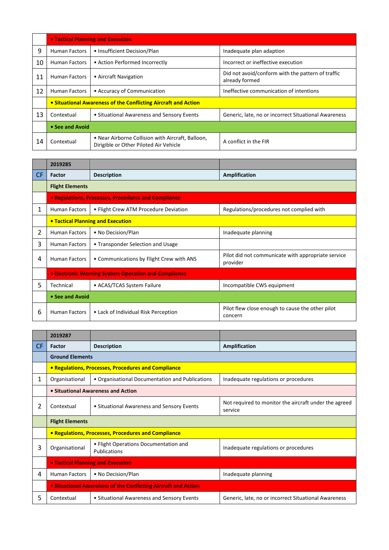|    | • Tactical Planning and Execution |                                                                                             |                                                                     |
|----|-----------------------------------|---------------------------------------------------------------------------------------------|---------------------------------------------------------------------|
| 9  | <b>Human Factors</b>              | • Insufficient Decision/Plan                                                                | Inadequate plan adaption                                            |
| 10 | <b>Human Factors</b>              | • Action Performed Incorrectly                                                              | Incorrect or ineffective execution                                  |
| 11 | <b>Human Factors</b>              | • Aircraft Navigation                                                                       | Did not avoid/conform with the pattern of traffic<br>already formed |
| 12 | <b>Human Factors</b>              | • Accuracy of Communication                                                                 | Ineffective communication of intentions                             |
|    |                                   | • Situational Awareness of the Conflicting Aircraft and Action                              |                                                                     |
| 13 | Contextual                        | • Situational Awareness and Sensory Events                                                  | Generic, late, no or incorrect Situational Awareness                |
|    | • See and Avoid                   |                                                                                             |                                                                     |
| 14 | Contextual                        | • Near Airborne Collision with Aircraft, Balloon,<br>Dirigible or Other Piloted Air Vehicle | A conflict in the FIR                                               |

|           | 2019285                |                                                      |                                                                |
|-----------|------------------------|------------------------------------------------------|----------------------------------------------------------------|
| <b>CF</b> | Factor                 | <b>Description</b>                                   | Amplification                                                  |
|           | <b>Flight Elements</b> |                                                      |                                                                |
|           |                        | • Regulations, Processes, Procedures and Compliance  |                                                                |
| 1         | <b>Human Factors</b>   | • Flight Crew ATM Procedure Deviation                | Regulations/procedures not complied with                       |
|           |                        | <b>• Tactical Planning and Execution</b>             |                                                                |
| 2         | <b>Human Factors</b>   | • No Decision/Plan                                   | Inadequate planning                                            |
| 3         | <b>Human Factors</b>   | • Transponder Selection and Usage                    |                                                                |
| 4         | <b>Human Factors</b>   | • Communications by Flight Crew with ANS             | Pilot did not communicate with appropriate service<br>provider |
|           |                        | • Electronic Warning System Operation and Compliance |                                                                |
| 5.        | Technical              | • ACAS/TCAS System Failure                           | Incompatible CWS equipment                                     |
|           | • See and Avoid        |                                                      |                                                                |
| 6         | <b>Human Factors</b>   | • Lack of Individual Risk Perception                 | Pilot flew close enough to cause the other pilot<br>concern    |

|           | 2019287                                  |                                                                |                                                                  |
|-----------|------------------------------------------|----------------------------------------------------------------|------------------------------------------------------------------|
| <b>CF</b> | Factor                                   | <b>Description</b>                                             | Amplification                                                    |
|           | <b>Ground Elements</b>                   |                                                                |                                                                  |
|           |                                          | • Regulations, Processes, Procedures and Compliance            |                                                                  |
| 1         | Organisational                           | • Organisational Documentation and Publications                | Inadequate regulations or procedures                             |
|           |                                          | • Situational Awareness and Action                             |                                                                  |
| 2         | Contextual                               | • Situational Awareness and Sensory Events                     | Not required to monitor the aircraft under the agreed<br>service |
|           | <b>Flight Elements</b>                   |                                                                |                                                                  |
|           |                                          | • Regulations, Processes, Procedures and Compliance            |                                                                  |
| 3         | Organisational                           | • Flight Operations Documentation and<br>Publications          | Inadequate regulations or procedures                             |
|           | <b>• Tactical Planning and Execution</b> |                                                                |                                                                  |
| 4         | Human Factors                            | • No Decision/Plan                                             | Inadequate planning                                              |
|           |                                          | • Situational Awareness of the Conflicting Aircraft and Action |                                                                  |
| 5         | Contextual                               | • Situational Awareness and Sensory Events                     | Generic, late, no or incorrect Situational Awareness             |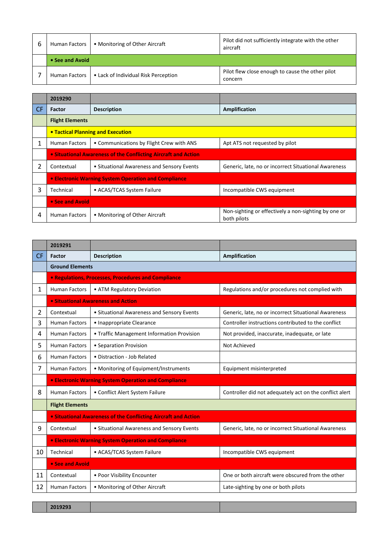| Human Factors        | • Monitoring of Other Aircraft       | Pilot did not sufficiently integrate with the other<br>aircraft |
|----------------------|--------------------------------------|-----------------------------------------------------------------|
| • See and Avoid      |                                      |                                                                 |
| <b>Human Factors</b> | • Lack of Individual Risk Perception | Pilot flew close enough to cause the other pilot<br>concern     |

|           | 2019290                                                        |                                                      |                                                                     |  |
|-----------|----------------------------------------------------------------|------------------------------------------------------|---------------------------------------------------------------------|--|
| <b>CF</b> | Factor                                                         | <b>Description</b>                                   | Amplification                                                       |  |
|           | <b>Flight Elements</b>                                         |                                                      |                                                                     |  |
|           |                                                                | • Tactical Planning and Execution                    |                                                                     |  |
| 1         | <b>Human Factors</b>                                           | • Communications by Flight Crew with ANS             | Apt ATS not requested by pilot                                      |  |
|           | • Situational Awareness of the Conflicting Aircraft and Action |                                                      |                                                                     |  |
| 2         | Contextual                                                     | • Situational Awareness and Sensory Events           | Generic, late, no or incorrect Situational Awareness                |  |
|           |                                                                | • Electronic Warning System Operation and Compliance |                                                                     |  |
| 3         | Technical                                                      | • ACAS/TCAS System Failure                           | Incompatible CWS equipment                                          |  |
|           | • See and Avoid                                                |                                                      |                                                                     |  |
| 4         | <b>Human Factors</b>                                           | • Monitoring of Other Aircraft                       | Non-sighting or effectively a non-sighting by one or<br>both pilots |  |

|              | 2019291                                                     |                                                                       |                                                         |
|--------------|-------------------------------------------------------------|-----------------------------------------------------------------------|---------------------------------------------------------|
| <b>CF</b>    | Factor                                                      | <b>Description</b>                                                    | Amplification                                           |
|              | <b>Ground Elements</b>                                      |                                                                       |                                                         |
|              |                                                             | <b>• Regulations, Processes, Procedures and Compliance</b>            |                                                         |
| $\mathbf{1}$ | <b>Human Factors</b>                                        | • ATM Regulatory Deviation                                            | Regulations and/or procedures not complied with         |
|              |                                                             | • Situational Awareness and Action                                    |                                                         |
| 2            | Contextual                                                  | • Situational Awareness and Sensory Events                            | Generic, late, no or incorrect Situational Awareness    |
| 3            | <b>Human Factors</b>                                        | • Inappropriate Clearance                                             | Controller instructions contributed to the conflict     |
| 4            | <b>Human Factors</b>                                        | • Traffic Management Information Provision                            | Not provided, inaccurate, inadequate, or late           |
| 5            | <b>Human Factors</b>                                        | • Separation Provision                                                | Not Achieved                                            |
| 6            | <b>Human Factors</b>                                        | • Distraction - Job Related                                           |                                                         |
| 7            | <b>Human Factors</b>                                        | • Monitoring of Equipment/Instruments                                 | Equipment misinterpreted                                |
|              |                                                             | <b>• Electronic Warning System Operation and Compliance</b>           |                                                         |
| 8            | <b>Human Factors</b>                                        | • Conflict Alert System Failure                                       | Controller did not adequately act on the conflict alert |
|              | <b>Flight Elements</b>                                      |                                                                       |                                                         |
|              |                                                             | <b>.</b> Situational Awareness of the Conflicting Aircraft and Action |                                                         |
| 9            | Contextual                                                  | • Situational Awareness and Sensory Events                            | Generic, late, no or incorrect Situational Awareness    |
|              | <b>• Electronic Warning System Operation and Compliance</b> |                                                                       |                                                         |
| 10           | Technical                                                   | • ACAS/TCAS System Failure                                            | Incompatible CWS equipment                              |
|              | • See and Avoid                                             |                                                                       |                                                         |
| 11           | Contextual                                                  | • Poor Visibility Encounter                                           | One or both aircraft were obscured from the other       |
| 12           | <b>Human Factors</b>                                        | • Monitoring of Other Aircraft                                        | Late-sighting by one or both pilots                     |

x **2019293 Airprox Number**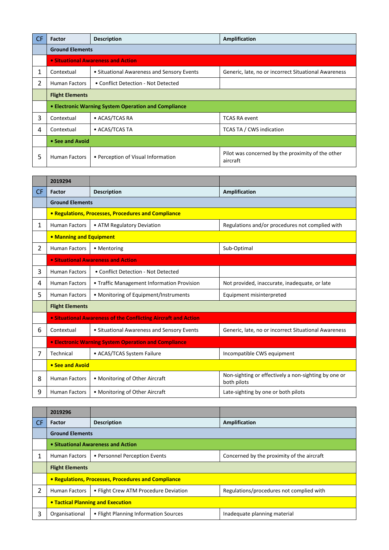| <b>CF</b> | Factor                 | <b>Description</b>                                   | Amplification                                                 |  |
|-----------|------------------------|------------------------------------------------------|---------------------------------------------------------------|--|
|           |                        | <b>Ground Elements</b>                               |                                                               |  |
|           |                        | <b>• Situational Awareness and Action</b>            |                                                               |  |
| 1         | Contextual             | • Situational Awareness and Sensory Events           | Generic, late, no or incorrect Situational Awareness          |  |
| 2         | <b>Human Factors</b>   | • Conflict Detection - Not Detected                  |                                                               |  |
|           | <b>Flight Elements</b> |                                                      |                                                               |  |
|           |                        | • Electronic Warning System Operation and Compliance |                                                               |  |
| 3         | Contextual             | • ACAS/TCAS RA                                       | <b>TCAS RA event</b>                                          |  |
| 4         | Contextual             | • ACAS/TCAS TA                                       | TCAS TA / CWS indication                                      |  |
|           | • See and Avoid        |                                                      |                                                               |  |
| 5         | <b>Human Factors</b>   | • Perception of Visual Information                   | Pilot was concerned by the proximity of the other<br>aircraft |  |

|                | 2019294                 |                                                                |                                                                     |  |
|----------------|-------------------------|----------------------------------------------------------------|---------------------------------------------------------------------|--|
| CF.            | Factor                  | <b>Description</b>                                             | Amplification                                                       |  |
|                |                         | <b>Ground Elements</b>                                         |                                                                     |  |
|                |                         | • Regulations, Processes, Procedures and Compliance            |                                                                     |  |
| 1              | <b>Human Factors</b>    | • ATM Regulatory Deviation                                     | Regulations and/or procedures not complied with                     |  |
|                | • Manning and Equipment |                                                                |                                                                     |  |
| $\overline{2}$ | <b>Human Factors</b>    | • Mentoring                                                    | Sub-Optimal                                                         |  |
|                |                         | • Situational Awareness and Action                             |                                                                     |  |
| 3              | <b>Human Factors</b>    | • Conflict Detection - Not Detected                            |                                                                     |  |
| 4              | <b>Human Factors</b>    | • Traffic Management Information Provision                     | Not provided, inaccurate, inadequate, or late                       |  |
| 5              | <b>Human Factors</b>    | • Monitoring of Equipment/Instruments                          | Equipment misinterpreted                                            |  |
|                | <b>Flight Elements</b>  |                                                                |                                                                     |  |
|                |                         | • Situational Awareness of the Conflicting Aircraft and Action |                                                                     |  |
| 6              | Contextual              | • Situational Awareness and Sensory Events                     | Generic, late, no or incorrect Situational Awareness                |  |
|                |                         | • Electronic Warning System Operation and Compliance           |                                                                     |  |
| 7              | Technical               | • ACAS/TCAS System Failure                                     | Incompatible CWS equipment                                          |  |
|                | • See and Avoid         |                                                                |                                                                     |  |
| 8              | <b>Human Factors</b>    | • Monitoring of Other Aircraft                                 | Non-sighting or effectively a non-sighting by one or<br>both pilots |  |
| 9              | <b>Human Factors</b>    | • Monitoring of Other Aircraft                                 | Late-sighting by one or both pilots                                 |  |

|           | 2019296                                             |                                       |                                            |  |  |
|-----------|-----------------------------------------------------|---------------------------------------|--------------------------------------------|--|--|
| <b>CF</b> | <b>Factor</b>                                       | <b>Description</b>                    | Amplification                              |  |  |
|           | <b>Ground Elements</b>                              |                                       |                                            |  |  |
|           | • Situational Awareness and Action                  |                                       |                                            |  |  |
|           | <b>Human Factors</b>                                | • Personnel Perception Events         | Concerned by the proximity of the aircraft |  |  |
|           | <b>Flight Elements</b>                              |                                       |                                            |  |  |
|           | • Regulations, Processes, Procedures and Compliance |                                       |                                            |  |  |
| 2         | <b>Human Factors</b>                                | • Flight Crew ATM Procedure Deviation | Regulations/procedures not complied with   |  |  |
|           | <b>• Tactical Planning and Execution</b>            |                                       |                                            |  |  |
| 3         | Organisational                                      | • Flight Planning Information Sources | Inadequate planning material               |  |  |